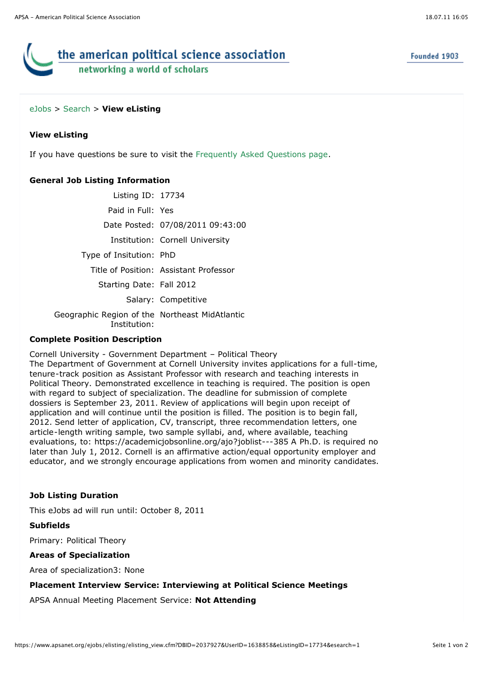# the american political science association networking a world of scholars

## [eJobs](https://www.apsanet.org/eJobs/startpage.cfm) > [Search](javascript:history.go(-1);) > **View eListing**

## **View eListing**

If you have questions be sure to visit the [Frequently Asked Questions page](javascript:void(0)).

# **General Job Listing Information**

Listing ID: 17734 Paid in Full: Yes Date Posted: 07/08/2011 09:43:00 Institution: Cornell University Type of Insitution: PhD Title of Position: Assistant Professor Starting Date: Fall 2012 Salary: Competitive Geographic Region of the Northeast MidAtlantic Institution:

# **Complete Position Description**

Cornell University - Government Department – Political Theory The Department of Government at Cornell University invites applications for a full-time,

tenure-track position as Assistant Professor with research and teaching interests in Political Theory. Demonstrated excellence in teaching is required. The position is open with regard to subject of specialization. The deadline for submission of complete dossiers is September 23, 2011. Review of applications will begin upon receipt of application and will continue until the position is filled. The position is to begin fall, 2012. Send letter of application, CV, transcript, three recommendation letters, one article-length writing sample, two sample syllabi, and, where available, teaching evaluations, to: https://academicjobsonline.org/ajo?joblist---385 A Ph.D. is required no later than July 1, 2012. Cornell is an affirmative action/equal opportunity employer and educator, and we strongly encourage applications from women and minority candidates.

#### **Job Listing Duration**

This eJobs ad will run until: October 8, 2011

**Subfields** Primary: Political Theory

#### **Areas of Specialization**

Area of specialization3: None

#### **Placement Interview Service: Interviewing at Political Science Meetings**

APSA Annual Meeting Placement Service: **Not Attending**

Founded 1903